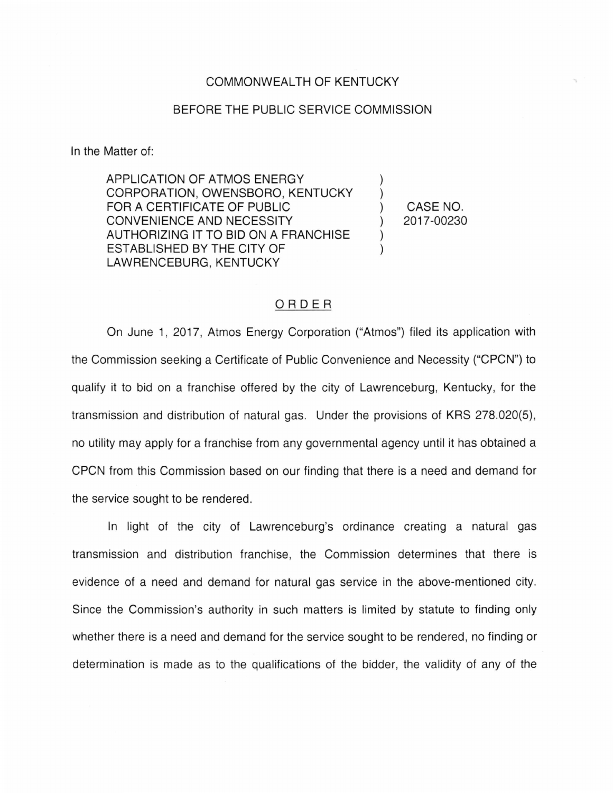## COMMONWEALTH OF KENTUCKY

## BEFORE THE PUBLIC SERVICE COMMISSION

In the Matter of:

APPLICATION OF ATMOS ENERGY CORPORATION, OWENSBORO, KENTUCKY FOR A CERTIFICATE OF PUBLIC CONVENIENCE AND NECESSITY AUTHORIZING IT TO BID ON A FRANCHISE ESTABLISHED BY THE CITY OF LAWRENCEBURG, KENTUCKY

) CASE NO. ) 2017-00230

) )

) )

## ORDER

On June 1, 2017, Atmos Energy Corporation ("Atmos") filed its application with the Commission seeking a Certificate of Public Convenience and Necessity ("CPCN") to qualify it to bid on a franchise offered by the city of Lawrenceburg, Kentucky, for the transmission and distribution of natural gas. Under the provisions of KRS 278.020(5), no utility may apply for a franchise from any governmental agency until it has obtained a CPCN from this Commission based on our finding that there is a need and demand for the service sought to be rendered.

In light of the city of Lawrenceburg's ordinance creating a natural gas transmission and distribution franchise, the Commission determines that there is evidence of a need and demand for natural gas service in the above-mentioned city. Since the Commission's authority in such matters is limited by statute to finding only whether there is a need and demand for the service sought to be rendered, no finding or determination is made as to the qualifications of the bidder, the validity of any of the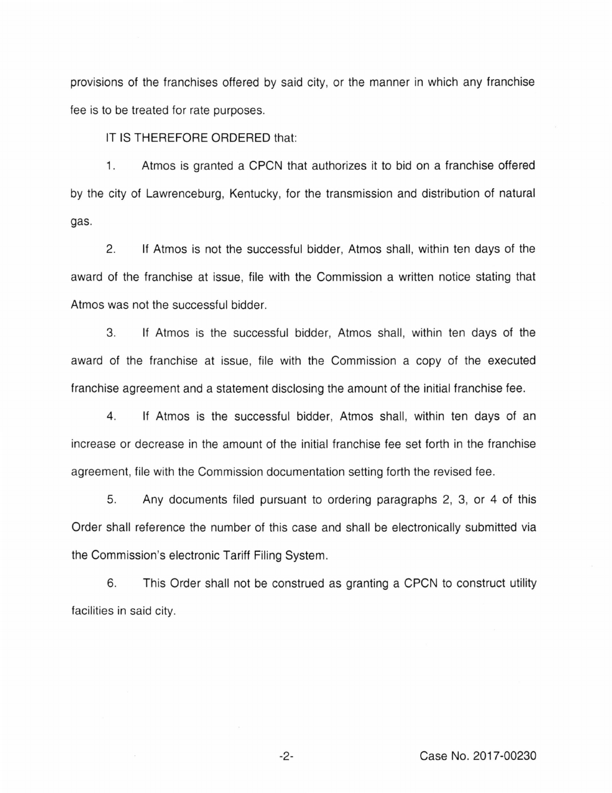provisions of the franchises offered by said city, or the manner in which any franchise fee is to be treated for rate purposes.

IT IS **THEREFORE ORDERED** that:

1. Atmos is granted a CPCN that authorizes it to bid on a franchise offered by the city of Lawrenceburg, Kentucky, for the transmission and distribution of natural gas.

2. If Atmos is not the successful bidder, Atmos shall, within ten days of the award of the franchise at issue, file with the Commission a written notice stating that Atmos was not the successful bidder.

3. If Atmos is the successful bidder, Atmos shall, within ten days of the award of the franchise at issue, file with the Commission a copy of the executed franchise agreement and a statement disclosing the amount of the initial franchise fee.

4. If Atmos is the successful bidder, Atmos shall, within ten days of an increase or decrease in the amount of the initial franchise fee set forth in the franchise agreement, file with the Commission documentation setting forth the revised fee.

5. Any documents filed pursuant to ordering paragraphs 2, 3, or 4 of this Order shall reference the number of this case and shall be electronically submitted via the Commission's electronic Tariff Filing System .

6. This Order shall not be construed as granting a CPCN to construct utility facilities in said city.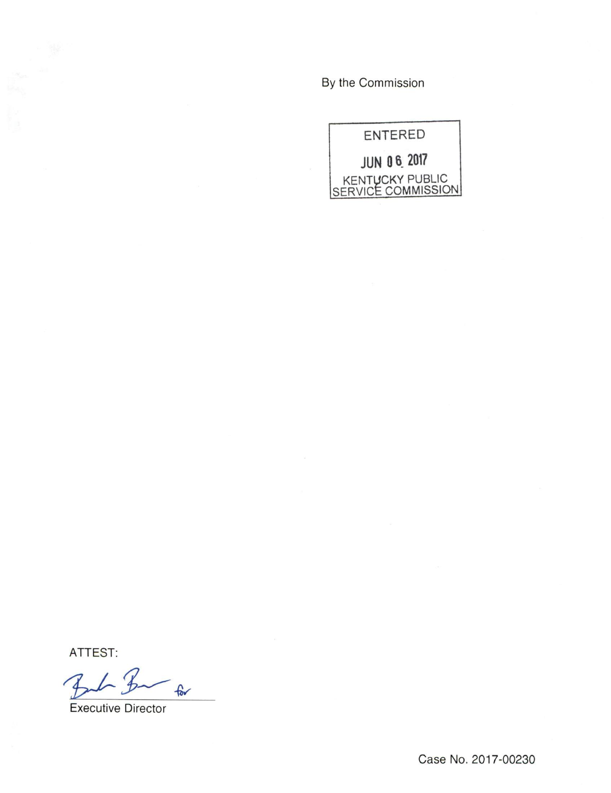By the Commission



ATTEST:

 $-$ for 4

Executive Director

Case No. 2017-00230